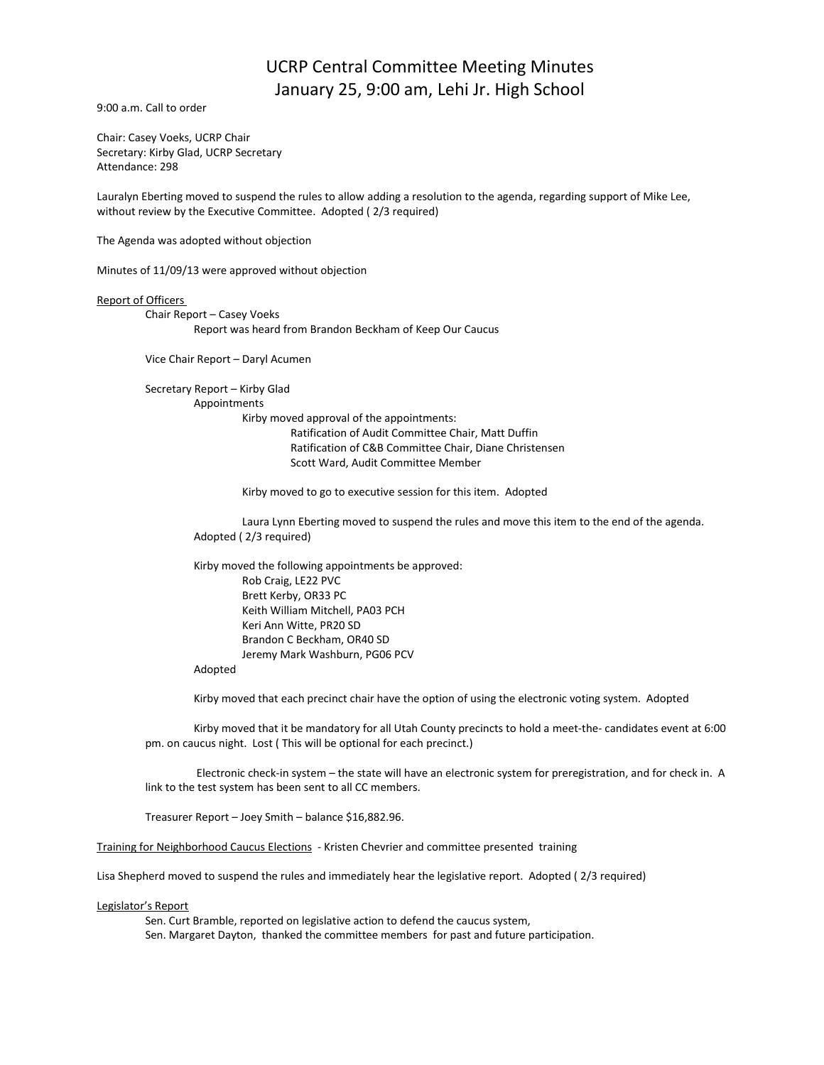## UCRP Central Committee Meeting Minutes January 25, 9:00 am, Lehi Jr. High School

9:00 a.m. Call to order

Chair: Casey Voeks, UCRP Chair Secretary: Kirby Glad, UCRP Secretary Attendance: 298

Lauralyn Eberting moved to suspend the rules to allow adding a resolution to the agenda, regarding support of Mike Lee, without review by the Executive Committee. Adopted ( 2/3 required)

The Agenda was adopted without objection

Minutes of 11/09/13 were approved without objection

## Report of Officers

Chair Report – Casey Voeks Report was heard from Brandon Beckham of Keep Our Caucus

Vice Chair Report – Daryl Acumen

Secretary Report – Kirby Glad Appointments Kirby moved approval of the appointments: Ratification of Audit Committee Chair, Matt Duffin Ratification of C&B Committee Chair, Diane Christensen Scott Ward, Audit Committee Member

Kirby moved to go to executive session for this item. Adopted

Laura Lynn Eberting moved to suspend the rules and move this item to the end of the agenda. Adopted ( 2/3 required)

Kirby moved the following appointments be approved: Rob Craig, LE22 PVC Brett Kerby, OR33 PC Keith William Mitchell, PA03 PCH Keri Ann Witte, PR20 SD Brandon C Beckham, OR40 SD Jeremy Mark Washburn, PG06 PCV

Adopted

Kirby moved that each precinct chair have the option of using the electronic voting system. Adopted

Kirby moved that it be mandatory for all Utah County precincts to hold a meet-the- candidates event at 6:00 pm. on caucus night. Lost ( This will be optional for each precinct.)

Electronic check-in system – the state will have an electronic system for preregistration, and for check in. A link to the test system has been sent to all CC members.

Treasurer Report – Joey Smith – balance \$16,882.96.

Training for Neighborhood Caucus Elections - Kristen Chevrier and committee presented training

Lisa Shepherd moved to suspend the rules and immediately hear the legislative report. Adopted ( 2/3 required)

Legislator's Report

Sen. Curt Bramble, reported on legislative action to defend the caucus system, Sen. Margaret Dayton, thanked the committee members for past and future participation.